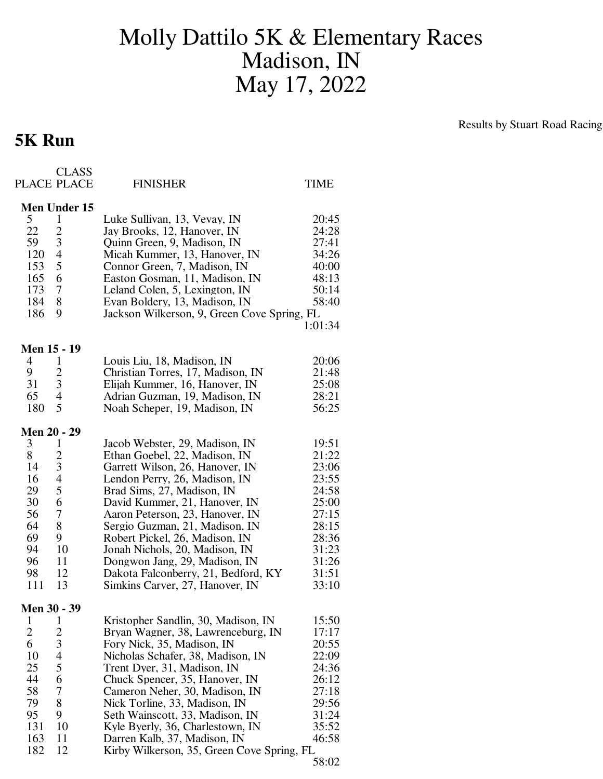## Molly Dattilo 5K & Elementary Races Madison, IN May 17, 2022

## **5K Run**

Results by Stuart Road Racing

|                      | <b>CLASS</b><br>PLACE PLACE                           | <b>FINISHER</b>                                             | TIME           |
|----------------------|-------------------------------------------------------|-------------------------------------------------------------|----------------|
| 5 <sup>5</sup><br>22 | <b>Men Under 15</b><br>$\mathbf{1}$<br>$\overline{c}$ | Luke Sullivan, 13, Vevay, IN<br>Jay Brooks, 12, Hanover, IN | 20:45<br>24:28 |
| 59                   | 3                                                     | Quinn Green, 9, Madison, IN                                 | 27:41          |
| 120                  | $\overline{4}$                                        | Micah Kummer, 13, Hanover, IN                               | 34:26          |
| 153                  | 5                                                     | Connor Green, 7, Madison, IN                                | 40:00          |
| 165                  | 6                                                     | Easton Gosman, 11, Madison, IN                              | 48:13          |
| 173                  | $\boldsymbol{7}$                                      | Leland Colen, 5, Lexington, IN                              | 50:14          |
| 184                  | 8                                                     | Evan Boldery, 13, Madison, IN                               | 58:40          |
| 186                  | 9                                                     | Jackson Wilkerson, 9, Green Cove Spring, FL                 |                |
|                      |                                                       |                                                             | 1:01:34        |
| <b>Men 15 - 19</b>   |                                                       |                                                             |                |
| 4                    | 1                                                     | Louis Liu, 18, Madison, IN                                  | 20:06          |
| 9                    | $\overline{c}$                                        | Christian Torres, 17, Madison, IN                           | 21:48          |
| 31                   | 3                                                     | Elijah Kummer, 16, Hanover, IN                              | 25:08          |
| 65                   | $\overline{4}$                                        | Adrian Guzman, 19, Madison, IN                              | 28:21          |
| 180                  | 5                                                     | Noah Scheper, 19, Madison, IN                               | 56:25          |
| Men 20 - 29          |                                                       |                                                             |                |
| 3                    | 1                                                     | Jacob Webster, 29, Madison, IN                              | 19:51          |
| 8                    | $\overline{c}$                                        | Ethan Goebel, 22, Madison, IN                               | 21:22          |
| 14                   | 3                                                     | Garrett Wilson, 26, Hanover, IN                             | 23:06          |
| 16                   | $\overline{4}$                                        | Lendon Perry, 26, Madison, IN                               | 23:55          |
| 29                   | 5                                                     | Brad Sims, 27, Madison, IN                                  | 24:58          |
| 30                   | 6                                                     | David Kummer, 21, Hanover, IN                               | 25:00          |
| 56                   | $\overline{7}$                                        | Aaron Peterson, 23, Hanover, IN                             | 27:15          |
| 64                   | 8                                                     | Sergio Guzman, 21, Madison, IN                              | 28:15          |
| 69                   | 9                                                     | Robert Pickel, 26, Madison, IN                              | 28:36          |
| 94                   | 10                                                    | Jonah Nichols, 20, Madison, IN                              | 31:23          |
| 96                   | 11                                                    | Dongwon Jang, 29, Madison, IN                               | 31:26          |
| 98                   | 12                                                    | Dakota Falconberry, 21, Bedford, KY                         | 31:51          |
| 111                  | 13                                                    | Simkins Carver, 27, Hanover, IN                             | 33:10          |
| Men 30 - 39          |                                                       |                                                             |                |
| 1                    | 1                                                     | Kristopher Sandlin, 30, Madison, IN                         | 15:50          |
| $\overline{c}$       | $\overline{c}$                                        | Bryan Wagner, 38, Lawrenceburg, IN                          | 17:17          |
| 6                    | 3                                                     | Fory Nick, 35, Madison, IN                                  | 20:55          |
| 10                   | $\overline{4}$                                        | Nicholas Schafer, 38, Madison, IN                           | 22:09          |
| 25                   | 5                                                     | Trent Dyer, 31, Madison, IN                                 | 24:36          |
| 44                   | 6                                                     | Chuck Spencer, 35, Hanover, IN                              | 26:12          |
| 58                   | 7                                                     | Cameron Neher, 30, Madison, IN                              | 27:18          |
| 79                   | 8                                                     | Nick Torline, 33, Madison, IN                               | 29:56          |
| 95                   | 9                                                     | Seth Wainscott, 33, Madison, IN                             | 31:24          |
| 131                  | 10                                                    | Kyle Byerly, 36, Charlestown, IN                            | 35:52          |
| 163                  | 11                                                    | Darren Kalb, 37, Madison, IN                                | 46:58          |
| 182                  | 12                                                    | Kirby Wilkerson, 35, Green Cove Spring, FL                  | 50.02          |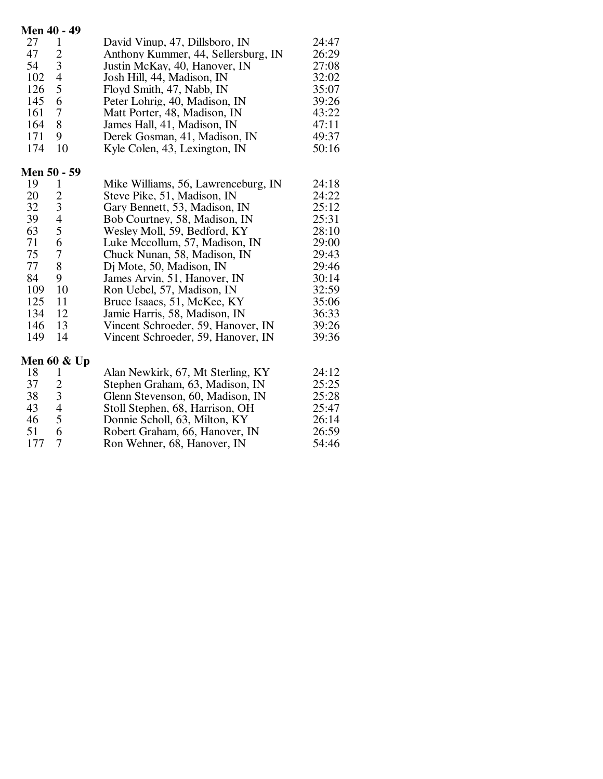|     | Men 40 - 49    |                                     |       |
|-----|----------------|-------------------------------------|-------|
| 27  | $\mathbf{1}$   | David Vinup, 47, Dillsboro, IN      | 24:47 |
| 47  | $\overline{c}$ | Anthony Kummer, 44, Sellersburg, IN | 26:29 |
| 54  | 3              | Justin McKay, 40, Hanover, IN       | 27:08 |
| 102 | 4              | Josh Hill, 44, Madison, IN          | 32:02 |
| 126 | 5              | Floyd Smith, 47, Nabb, IN           | 35:07 |
| 145 | 6              | Peter Lohrig, 40, Madison, IN       | 39:26 |
| 161 | 7              | Matt Porter, 48, Madison, IN        | 43:22 |
| 164 | 8              | James Hall, 41, Madison, IN         | 47:11 |
| 171 | 9              | Derek Gosman, 41, Madison, IN       | 49:37 |
| 174 | 10             | Kyle Colen, 43, Lexington, IN       | 50:16 |
|     | Men 50 - 59    |                                     |       |
| 19  | $\mathbf{1}$   | Mike Williams, 56, Lawrenceburg, IN | 24:18 |
| 20  | $\overline{c}$ | Steve Pike, 51, Madison, IN         | 24:22 |
| 32  | 3              | Gary Bennett, 53, Madison, IN       | 25:12 |
| 39  | $\overline{4}$ | Bob Courtney, 58, Madison, IN       | 25:31 |
| 63  | 5              | Wesley Moll, 59, Bedford, KY        | 28:10 |
| 71  | 6              | Luke Mccollum, 57, Madison, IN      | 29:00 |
| 75  | 7              | Chuck Nunan, 58, Madison, IN        | 29:43 |
| 77  | 8              | Di Mote, 50, Madison, IN            | 29:46 |
| 84  | 9              | James Arvin, 51, Hanover, IN        | 30:14 |
| 109 | 10             | Ron Uebel, 57, Madison, IN          | 32:59 |
| 125 | 11             | Bruce Isaacs, 51, McKee, KY         | 35:06 |
| 134 | 12             | Jamie Harris, 58, Madison, IN       | 36:33 |
| 146 | 13             | Vincent Schroeder, 59, Hanover, IN  | 39:26 |
| 149 | 14             | Vincent Schroeder, 59, Hanover, IN  | 39:36 |
|     | Men $60 &$ Up  |                                     |       |
| 18  | 1              | Alan Newkirk, 67, Mt Sterling, KY   | 24:12 |
| 37  | $\overline{c}$ | Stephen Graham, 63, Madison, IN     | 25:25 |
| 38  | $\mathfrak{Z}$ | Glenn Stevenson, 60, Madison, IN    | 25:28 |
| 43  | $\overline{4}$ | Stoll Stephen, 68, Harrison, OH     | 25:47 |
| 46  | 5              | Donnie Scholl, 63, Milton, KY       | 26:14 |
| 51  | 6              | Robert Graham, 66, Hanover, IN      | 26:59 |
| 177 | 7              | Ron Wehner, 68, Hanover, IN         | 54:46 |
|     |                |                                     |       |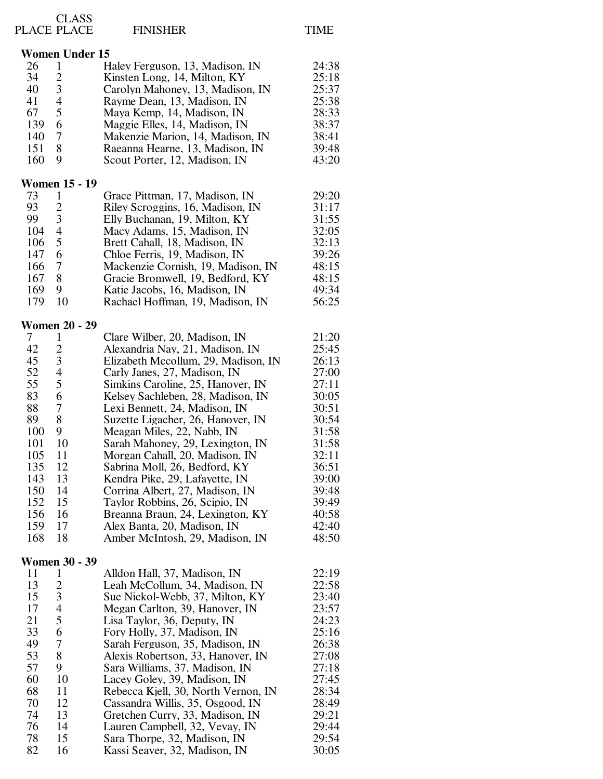| <b>CLASS</b><br><b>PLACE PLACE</b> | <b>FINISHER</b>                                                    | <b>TIME</b>    |
|------------------------------------|--------------------------------------------------------------------|----------------|
| <b>Women Under 15</b>              |                                                                    |                |
| 26<br>$\mathbf{1}$                 | Haley Ferguson, 13, Madison, IN                                    | 24:38          |
| $\overline{2}$<br>34               | Kinsten Long, 14, Milton, KY                                       | 25:18          |
| 40<br>3                            | Carolyn Mahoney, 13, Madison, IN                                   | 25:37          |
| 41<br>4                            | Rayme Dean, 13, Madison, IN                                        | 25:38          |
| 67<br>5                            | Maya Kemp, 14, Madison, IN                                         | 28:33          |
| 139<br>6                           | Maggie Elles, 14, Madison, IN                                      | 38:37          |
| 7<br>140                           | Makenzie Marion, 14, Madison, IN                                   | 38:41          |
| 8<br>151                           | Raeanna Hearne, 13, Madison, IN                                    | 39:48          |
| 160<br>9                           | Scout Porter, 12, Madison, IN                                      | 43:20          |
| <b>Women 15 - 19</b>               |                                                                    |                |
| 73<br>$\mathbf{1}$                 | Grace Pittman, 17, Madison, IN                                     | 29:20          |
| 93<br>$\overline{c}$               | Riley Scroggins, 16, Madison, IN                                   | 31:17          |
| 99<br>3                            | Elly Buchanan, 19, Milton, KY                                      | 31:55          |
| 104<br>$\overline{4}$              | Macy Adams, 15, Madison, IN                                        | 32:05          |
| 5<br>106                           | Brett Cahall, 18, Madison, IN                                      | 32:13          |
| 147<br>6                           | Chloe Ferris, 19, Madison, IN                                      | 39:26          |
| 7<br>166                           | Mackenzie Cornish, 19, Madison, IN                                 | 48:15          |
| 8<br>167                           | Gracie Bromwell, 19, Bedford, KY                                   | 48:15          |
| 169<br>9                           | Katie Jacobs, 16, Madison, IN                                      | 49:34          |
| 179<br>10                          | Rachael Hoffman, 19, Madison, IN                                   | 56:25          |
| <b>Women 20 - 29</b>               |                                                                    |                |
| 7<br>$\mathbf{1}$                  | Clare Wilber, 20, Madison, IN                                      | 21:20          |
| 42<br>2                            | Alexandria Nay, 21, Madison, IN                                    | 25:45          |
| 3<br>45                            | Elizabeth Mccollum, 29, Madison, IN                                | 26:13          |
| 52<br>4                            | Carly Janes, 27, Madison, IN                                       | 27:00          |
| 55<br>5                            | Simkins Caroline, 25, Hanover, IN                                  | 27:11          |
| 83<br>6<br>$\overline{7}$<br>88    | Kelsey Sachleben, 28, Madison, IN<br>Lexi Bennett, 24, Madison, IN | 30:05<br>30:51 |
| 8<br>89                            | Suzette Ligacher, 26, Hanover, IN                                  | 30:54          |
| 100<br>9                           | Meagan Miles, 22, Nabb, IN                                         | 31:58          |
| 10<br>101                          | Sarah Mahoney, 29, Lexington, IN                                   | 31:58          |
| 105<br>11                          | Morgan Cahall, 20, Madison, IN                                     | 32:11          |
| 135<br>12                          | Sabrina Moll, 26, Bedford, KY                                      | 36:51          |
| 143<br>13                          | Kendra Pike, 29, Lafayette, IN                                     | 39:00          |
| 150<br>14                          | Corrina Albert, 27, Madison, IN                                    | 39:48          |
| 152<br>15                          | Taylor Robbins, 26, Scipio, IN                                     | 39:49          |
| 156<br>16                          | Breanna Braun, 24, Lexington, KY                                   | 40:58          |
| 159<br>17                          | Alex Banta, 20, Madison, IN                                        | 42:40          |
| 168<br>18                          | Amber McIntosh, 29, Madison, IN                                    | 48:50          |
| <b>Women 30 - 39</b>               |                                                                    |                |
| 11<br>$\mathbf{1}$                 | Alldon Hall, 37, Madison, IN                                       | 22:19          |
| 13<br>2                            | Leah McCollum, 34, Madison, IN                                     | 22:58          |
| 3<br>15                            | Sue Nickol-Webb, 37, Milton, KY                                    | 23:40          |
| 4<br>17                            | Megan Carlton, 39, Hanover, IN                                     | 23:57          |
| 5<br>21                            | Lisa Taylor, 36, Deputy, IN                                        | 24:23          |
| 33<br>6                            | Fory Holly, 37, Madison, IN                                        | 25:16          |
| $\overline{7}$<br>49               | Sarah Ferguson, 35, Madison, IN                                    | 26:38          |
| 8<br>53                            | Alexis Robertson, 33, Hanover, IN                                  | 27:08          |
| 57<br>9                            | Sara Williams, 37, Madison, IN                                     | 27:18          |
| 60<br>10                           | Lacey Goley, 39, Madison, IN                                       | 27:45          |
| 68<br>11                           | Rebecca Kjell, 30, North Vernon, IN                                | 28:34          |
| 70<br>12                           | Cassandra Willis, 35, Osgood, IN                                   | 28:49          |
| 74<br>13                           | Gretchen Curry, 33, Madison, IN                                    | 29:21          |
| 76<br>14                           | Lauren Campbell, 32, Vevay, IN                                     | 29:44          |
| 78<br>15                           | Sara Thorpe, 32, Madison, IN                                       | 29:54          |
| 82<br>16                           | Kassi Seaver, 32, Madison, IN                                      | 30:05          |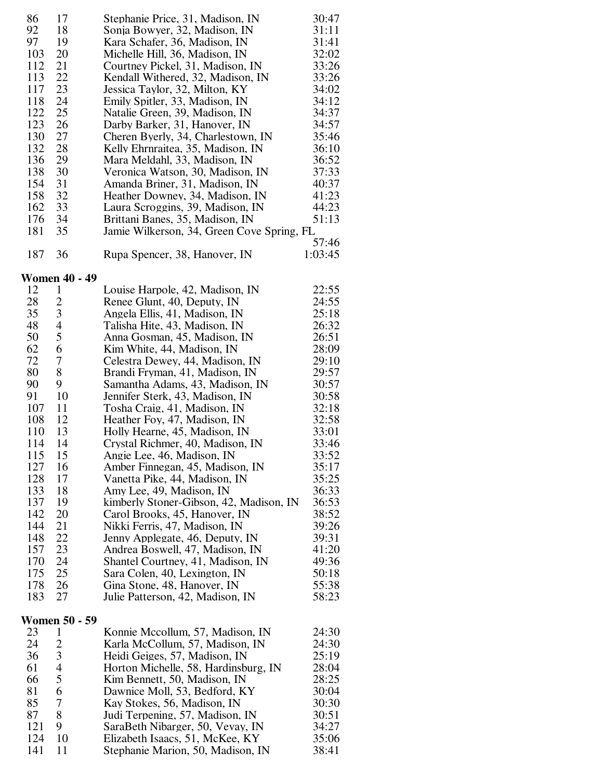| 86  | 17                                   | Stephanie Price, 31, Madison, IN           | 30:47   |
|-----|--------------------------------------|--------------------------------------------|---------|
| 92  | 18                                   | Sonja Bowyer, 32, Madison, IN              | 31:11   |
| 97  | 19                                   | Kara Schafer, 36, Madison, IN              | 31:41   |
| 103 | 20                                   | Michelle Hill, 36, Madison, IN             | 32:02   |
| 112 | 21                                   | Courtney Pickel, 31, Madison, IN           | 33:26   |
| 113 | 22                                   | Kendall Withered, 32, Madison, IN          | 33:26   |
| 117 | 23                                   | Jessica Taylor, 32, Milton, KY             | 34:02   |
| 118 | 24                                   | Emily Spitler, 33, Madison, IN             | 34:12   |
| 122 | 25                                   | Natalie Green, 39, Madison, IN             | 34:37   |
| 123 | 26                                   | Darby Barker, 31, Hanover, IN              | 34:57   |
| 130 | 27                                   | Cheren Byerly, 34, Charlestown, IN         | 35:46   |
| 132 | 28                                   | Kelly Ehrnraitea, 35, Madison, IN          | 36:10   |
| 136 | 29                                   | Mara Meldahl, 33, Madison, IN              | 36:52   |
| 138 | 30                                   | Veronica Watson, 30, Madison, IN           | 37:33   |
| 154 | 31                                   | Amanda Briner, 31, Madison, IN             | 40:37   |
| 158 | 32                                   | Heather Downey, 34, Madison, IN            | 41:23   |
| 162 | 33                                   | Laura Scroggins, 39, Madison, IN           | 44:23   |
| 176 | 34                                   | Brittani Banes, 35, Madison, IN            | 51:13   |
| 181 | 35                                   | Jamie Wilkerson, 34, Green Cove Spring, FL |         |
|     |                                      |                                            | 57:46   |
| 187 | 36                                   | Rupa Spencer, 38, Hanover, IN              | 1:03:45 |
|     | <b>Women 40 - 49</b>                 |                                            |         |
| 12  | 1                                    | Louise Harpole, 42, Madison, IN            | 22:55   |
| 28  | $\overline{c}$                       | Renee Glunt, 40, Deputy, IN                | 24:55   |
| 35  | 3                                    | Angela Ellis, 41, Madison, IN              | 25:18   |
| 48  | 4                                    | Talisha Hite, 43, Madison, IN              | 26:32   |
| 50  | 5                                    | Anna Gosman, 45, Madison, IN               | 26:51   |
| 62  | 6                                    | Kim White, 44, Madison, IN                 | 28:09   |
| 72  | 7                                    | Celestra Dewey, 44, Madison, IN            | 29:10   |
| 80  | 8                                    | Brandi Fryman, 41, Madison, IN             | 29:57   |
| 90  | 9                                    | Samantha Adams, 43, Madison, IN            | 30:57   |
| 91  | 10                                   | Jennifer Sterk, 43, Madison, IN            | 30:58   |
| 107 | 11                                   | Tosha Craig, 41, Madison, IN               | 32:18   |
| 108 | 12                                   | Heather Foy, 47, Madison, IN               | 32:58   |
| 110 | 13                                   | Holly Hearne, 45, Madison, IN              | 33:01   |
| 114 | 14                                   | Crystal Richmer, 40, Madison, IN           | 33:46   |
| 115 | 15                                   | Angie Lee, 46, Madison, IN                 | 33:52   |
| 127 | 16                                   | Amber Finnegan, 45, Madison, IN            | 35:17   |
| 128 | 17                                   | Vanetta Pike, 44, Madison, IN              | 35:25   |
| 133 | 18                                   | Amy Lee, 49, Madison, IN                   | 36:33   |
| 137 | 19                                   | kimberly Stoner-Gibson, 42, Madison, IN    | 36:53   |
| 142 | 20                                   | Carol Brooks, 45, Hanover, IN              | 38:52   |
| 144 | 21                                   | Nikki Ferris, 47, Madison, IN              | 39:26   |
| 148 | 22                                   | Jenny Applegate, 46, Deputy, IN            | 39:31   |
| 157 | 23                                   | Andrea Boswell, 47, Madison, IN            | 41:20   |
| 170 | 24                                   | Shantel Courtney, 41, Madison, IN          | 49:36   |
| 175 | 25                                   | Sara Colen, 40, Lexington, IN              | 50:18   |
| 178 | 26                                   | Gina Stone, 48, Hanover, IN                | 55:38   |
| 183 | 27                                   | Julie Patterson, 42, Madison, IN           | 58:23   |
|     |                                      |                                            |         |
| 23  | <b>Women 50 - 59</b><br>$\mathbf{1}$ | Konnie Mccollum, 57, Madison, IN           | 24:30   |
| 24  | $\overline{c}$                       | Karla McCollum, 57, Madison, IN            | 24:30   |
| 36  | 3                                    | Heidi Geiges, 57, Madison, IN              | 25:19   |
| 61  | 4                                    | Horton Michelle, 58, Hardinsburg, IN       | 28:04   |
| 66  | 5                                    | Kim Bennett, 50, Madison, IN               | 28:25   |
| 81  | 6                                    | Dawnice Moll, 53, Bedford, KY              | 30:04   |
| 85  | 7                                    | Kay Stokes, 56, Madison, IN                | 30:30   |
| 87  | 8                                    | Judi Terpening, 57, Madison, IN            | 30:51   |
| 121 | 9                                    | SaraBeth Nibarger, 50, Vevay, IN           | 34:27   |
| 124 | 10                                   | Elizabeth Isaacs, 51, McKee, KY            | 35:06   |
| 141 | 11                                   | Stephanie Marion, 50, Madison, IN          | 38:41   |
|     |                                      |                                            |         |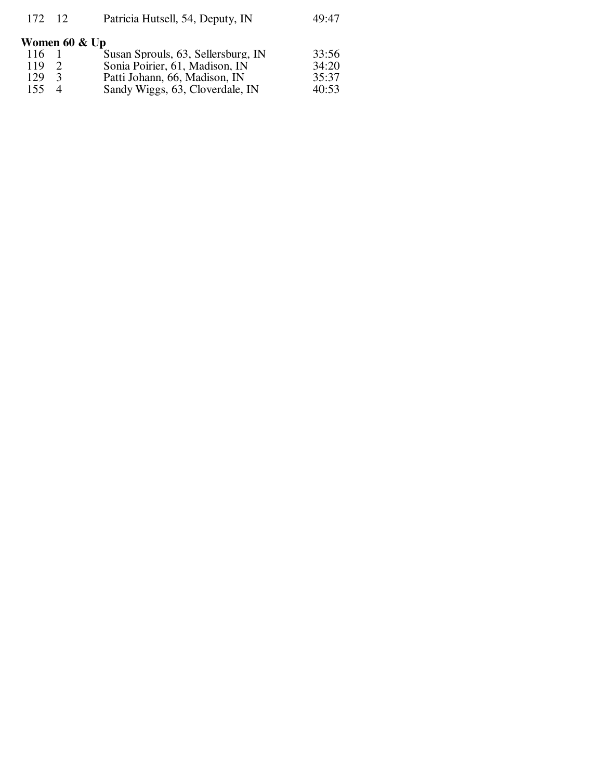| 172  | 12.           | Patricia Hutsell, 54, Deputy, IN   | 49.47 |
|------|---------------|------------------------------------|-------|
|      |               | Women 60 & Up                      |       |
| -116 |               | Susan Sprouls, 63, Sellersburg, IN | 33:56 |
| 119  |               | Sonia Poirier, 61, Madison, IN     | 34:20 |
| 129  | $\mathcal{R}$ | Patti Johann, 66, Madison, IN      | 35:37 |
| 155  |               | Sandy Wiggs, 63, Cloverdale, IN    | 40:53 |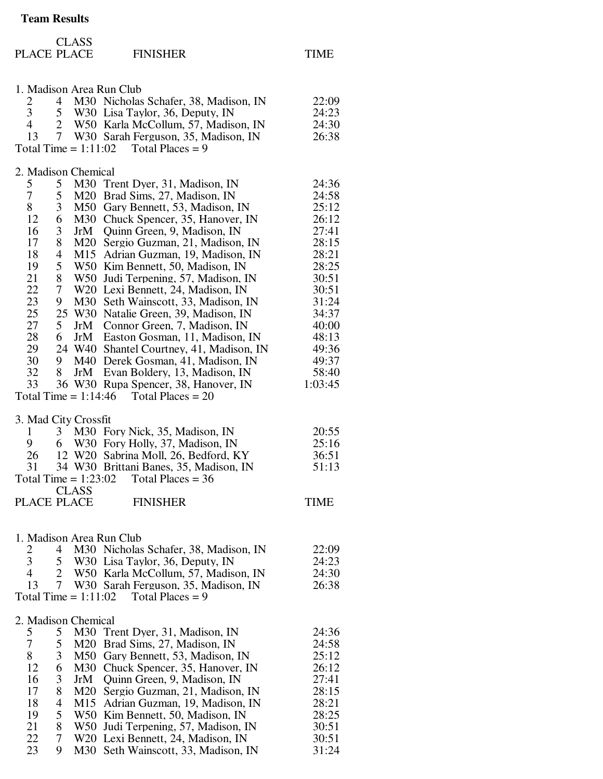| <b>CLASS</b><br>PLACE PLACE                                                                                                                                                                                                       | <b>FINISHER</b>                                                                                                                                                                                                                                                                                                                                                                                                                                                                                                                                                                                                                                                                                                                          | TIME                                                                                                                                                             |
|-----------------------------------------------------------------------------------------------------------------------------------------------------------------------------------------------------------------------------------|------------------------------------------------------------------------------------------------------------------------------------------------------------------------------------------------------------------------------------------------------------------------------------------------------------------------------------------------------------------------------------------------------------------------------------------------------------------------------------------------------------------------------------------------------------------------------------------------------------------------------------------------------------------------------------------------------------------------------------------|------------------------------------------------------------------------------------------------------------------------------------------------------------------|
| 1. Madison Area Run Club<br>4<br>$\frac{2}{3}$<br>5<br>$\overline{4}$<br>$\overline{2}$<br>13<br>$\tau$                                                                                                                           | M30 Nicholas Schafer, 38, Madison, IN<br>W30 Lisa Taylor, 36, Deputy, IN<br>W50 Karla McCollum, 57, Madison, IN<br>W30 Sarah Ferguson, 35, Madison, IN<br>Total Time = $1:11:02$ Total Places = 9                                                                                                                                                                                                                                                                                                                                                                                                                                                                                                                                        | 22:09<br>24:23<br>24:30<br>26:38                                                                                                                                 |
| 2. Madison Chemical<br>5<br>5<br>7<br>5<br>8<br>3<br>12<br>6<br>16<br>3<br>17<br>8<br>18<br>$\overline{4}$<br>5<br>19<br>8<br>21<br>22<br>7<br>23<br>9<br>25<br>25<br>27<br>5<br>JrM<br>28<br>6<br>29<br>30<br>9<br>32<br>8<br>33 | M30 Trent Dyer, 31, Madison, IN<br>M20 Brad Sims, 27, Madison, IN<br>M50 Gary Bennett, 53, Madison, IN<br>M30 Chuck Spencer, 35, Hanover, IN<br>JrM Quinn Green, 9, Madison, IN<br>M20 Sergio Guzman, 21, Madison, IN<br>M15 Adrian Guzman, 19, Madison, IN<br>W50 Kim Bennett, 50, Madison, IN<br>W50 Judi Terpening, 57, Madison, IN<br>W20 Lexi Bennett, 24, Madison, IN<br>M30 Seth Wainscott, 33, Madison, IN<br>W30 Natalie Green, 39, Madison, IN<br>Connor Green, 7, Madison, IN<br>JrM Easton Gosman, 11, Madison, IN<br>24 W40 Shantel Courtney, 41, Madison, IN<br>M40 Derek Gosman, 41, Madison, IN<br>JrM Evan Boldery, 13, Madison, IN<br>36 W30 Rupa Spencer, 38, Hanover, IN<br>Total Time = $1:14:46$ Total Places = 20 | 24:36<br>24:58<br>25:12<br>26:12<br>27:41<br>28:15<br>28:21<br>28:25<br>30:51<br>30:51<br>31:24<br>34:37<br>40:00<br>48:13<br>49:36<br>49:37<br>58:40<br>1:03:45 |
| 3. Mad City Crossfit<br>1<br>3<br>9<br>6<br>31<br><b>CLASS</b><br><b>PLACE PLACE</b>                                                                                                                                              | M30 Fory Nick, 35, Madison, IN<br>W30 Fory Holly, 37, Madison, IN<br>26 12 W20 Sabrina Moll, 26, Bedford, KY<br>34 W30 Brittani Banes, 35, Madison, IN<br>Total Time = $1:23:02$ Total Places = 36<br><b>FINISHER</b>                                                                                                                                                                                                                                                                                                                                                                                                                                                                                                                    | 20:55<br>25:16<br>36:51<br>51:13<br>TIME                                                                                                                         |
| 1. Madison Area Run Club<br>4<br>$rac{2}{3}$<br>5<br>$\overline{4}$<br>$\overline{2}$<br>13<br>$\tau$<br>Total Time = $1:11:02$                                                                                                   | M30 Nicholas Schafer, 38, Madison, IN<br>W30 Lisa Taylor, 36, Deputy, IN<br>W50 Karla McCollum, 57, Madison, IN<br>W30 Sarah Ferguson, 35, Madison, IN<br>Total Places $= 9$                                                                                                                                                                                                                                                                                                                                                                                                                                                                                                                                                             | 22:09<br>24:23<br>24:30<br>26:38                                                                                                                                 |
| 2. Madison Chemical<br>5<br>5<br>$\tau$<br>5<br>8<br>3<br>12<br>6<br>3<br>16<br>JrM<br>8<br>17<br>18<br>$\overline{\mathcal{A}}$<br>5<br>19<br>8<br>21<br>22<br>7<br>23<br>9<br>M30                                               | M30 Trent Dyer, 31, Madison, IN<br>M20 Brad Sims, 27, Madison, IN<br>M50 Gary Bennett, 53, Madison, IN<br>M30 Chuck Spencer, 35, Hanover, IN<br>Quinn Green, 9, Madison, IN<br>M20 Sergio Guzman, 21, Madison, IN<br>M15 Adrian Guzman, 19, Madison, IN<br>W50 Kim Bennett, 50, Madison, IN<br>W50 Judi Terpening, 57, Madison, IN<br>W20 Lexi Bennett, 24, Madison, IN<br>Seth Wainscott, 33, Madison, IN                                                                                                                                                                                                                                                                                                                               | 24:36<br>24:58<br>25:12<br>26:12<br>27:41<br>28:15<br>28:21<br>28:25<br>30:51<br>30:51<br>31:24                                                                  |